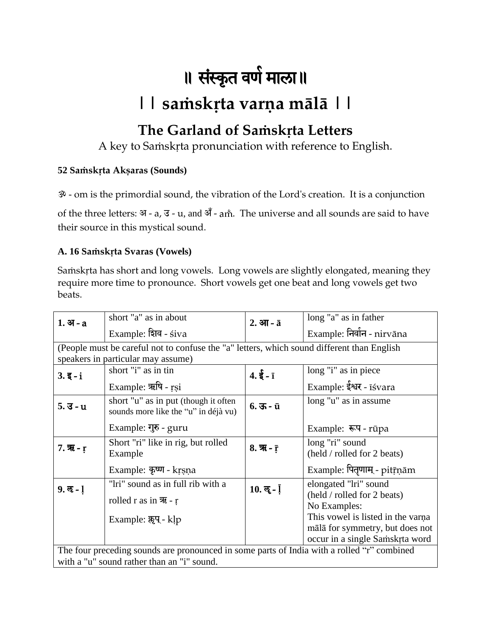# ॥ संस्कृत वर्ण माला॥

## **|| saṁskṛta varṇa mālā ||**

### **The Garland of Saṁskṛta Letters**

A key to Saṁskṛta pronunciation with reference to English.

#### **52 Saṁskṛta Akṣaras (Sounds)**

ॐ - om is the primordial sound, the vibration of the Lord's creation. It is a conjunction

of the three letters:  $\Im$  - a,  $\Im$  - u, and  $\Im$  - am<sup>\*</sup>. The universe and all sounds are said to have their source in this mystical sound.

#### **A. 16 Saṁskṛta Svaras (Vowels)**

Saṁskṛta has short and long vowels. Long vowels are slightly elongated, meaning they require more time to pronounce. Short vowels get one beat and long vowels get two beats.

| $1.$ अ $- a$                                                                                                                             | short "a" as in about                                                                      | $2.$ आ - $\bar{a}$                    | long "a" as in father                                              |
|------------------------------------------------------------------------------------------------------------------------------------------|--------------------------------------------------------------------------------------------|---------------------------------------|--------------------------------------------------------------------|
|                                                                                                                                          | Example: शिव - siva                                                                        |                                       | Example: निर्वान - nirvāna                                         |
|                                                                                                                                          | (People must be careful not to confuse the "a" letters, which sound different than English |                                       |                                                                    |
|                                                                                                                                          | speakers in particular may assume)                                                         |                                       |                                                                    |
| $3.\overline{5}-i$                                                                                                                       | short "i" as in tin                                                                        | $4.\xi - \bar{1}$                     | long "i" as in piece                                               |
|                                                                                                                                          | Example: ऋषि - rsi                                                                         |                                       | Example: ईश्वर - isvara                                            |
| $5.3 - u$                                                                                                                                | short "u" as in put (though it often<br>sounds more like the "u" in déjà vu)               | $6.35 - 11$                           | long "u" as in assume                                              |
|                                                                                                                                          | Example: गुरु - guru                                                                       |                                       | Example: रूप - rūpa                                                |
| 7. $\overline{R}$ - r                                                                                                                    | Short "ri" like in rig, but rolled<br>Example                                              | $8. \, \overline{7}$ - $\overline{r}$ | long "ri" sound<br>(held / rolled for 2 beats)                     |
|                                                                                                                                          | Example: कृष्ण - krsna                                                                     |                                       | Example: पितृणाम् - pitr़्nām                                      |
| $9.8 - 1$                                                                                                                                | "lri" sound as in full rib with a                                                          | $10.$ लू - $\overline{1}$             | elongated "lri" sound                                              |
|                                                                                                                                          | rolled r as in $\overline{R}$ - r                                                          |                                       | (held / rolled for 2 beats)<br>No Examples:                        |
|                                                                                                                                          | Example: क्लूप - klp                                                                       |                                       | This vowel is listed in the varna                                  |
|                                                                                                                                          |                                                                                            |                                       | mālā for symmetry, but does not<br>occur in a single Samskrta word |
| The four preceding sounds are pronounced in some parts of India with a rolled "r" combined<br>with a "u" sound rather than an "i" sound. |                                                                                            |                                       |                                                                    |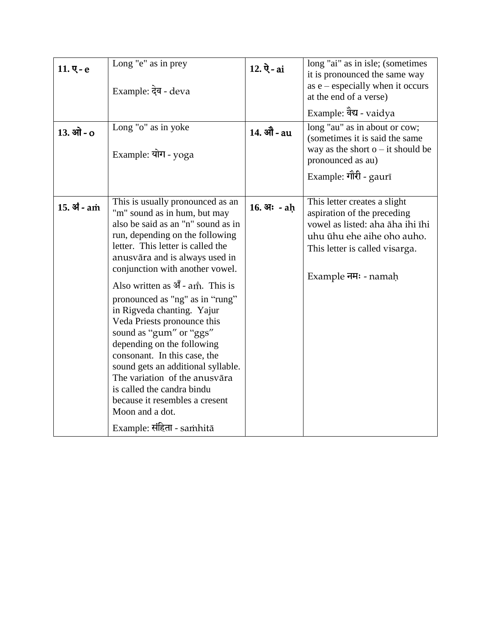| $11.$ ए-е<br>$13.$ ओ - $o$ | Long "e" as in prey<br>Example: देव - deva<br>Long "o" as in yoke<br>Example: योग - yoga                                                                                                                                                                                                                                                                                                                                                                                                                                                                                                                                                                                          | $12. \, \dot{Q}$ - ai<br>14. औे - au | long "ai" as in isle; (sometimes<br>it is pronounced the same way<br>as $e$ – especially when it occurs<br>at the end of a verse)<br>Example: वैद्य - vaidya<br>long "au" as in about or cow;<br>(sometimes it is said the same<br>way as the short $o$ – it should be<br>pronounced as au)<br>Example: गौरी - gaurī |
|----------------------------|-----------------------------------------------------------------------------------------------------------------------------------------------------------------------------------------------------------------------------------------------------------------------------------------------------------------------------------------------------------------------------------------------------------------------------------------------------------------------------------------------------------------------------------------------------------------------------------------------------------------------------------------------------------------------------------|--------------------------------------|----------------------------------------------------------------------------------------------------------------------------------------------------------------------------------------------------------------------------------------------------------------------------------------------------------------------|
| $15.31 -$ am               | This is usually pronounced as an<br>"m" sound as in hum, but may<br>also be said as an "n" sound as in<br>run, depending on the following<br>letter. This letter is called the<br>anusvāra and is always used in<br>conjunction with another vowel.<br>Also written as $\mathbf{H}$ - am. This is<br>pronounced as "ng" as in "rung"<br>in Rigveda chanting. Yajur<br>Veda Priests pronounce this<br>sound as "gum" or "ggs"<br>depending on the following<br>consonant. In this case, the<br>sound gets an additional syllable.<br>The variation of the anusvāra<br>is called the candra bindu<br>because it resembles a cresent<br>Moon and a dot.<br>Example: संहिता - samhitā | $16.$ अः - ah                        | This letter creates a slight<br>aspiration of the preceding<br>vowel as listed: aha āha ihi īhi<br>uhu ūhu ehe aihe oho auho.<br>This letter is called visarga.<br>Example नमः - namaḥ                                                                                                                               |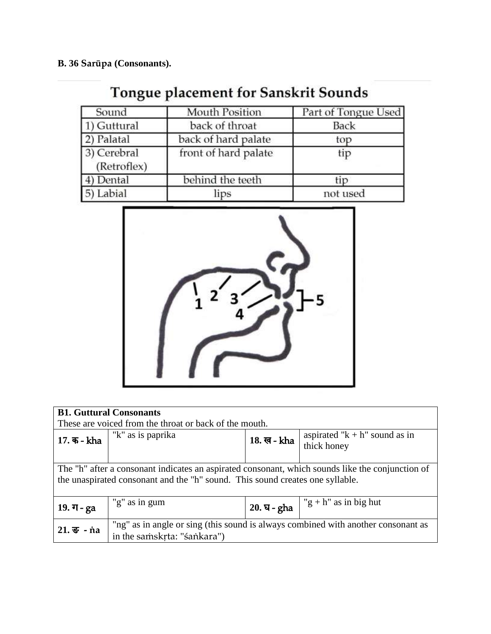**B. 36 Sarūpa (Consonants).**

## Tongue placement for Sanskrit Sounds

| Sound                      | <b>Mouth Position</b> | Part of Tongue Used |
|----------------------------|-----------------------|---------------------|
| 1) Guttural                | back of throat        | <b>Back</b>         |
| 2) Palatal                 | back of hard palate   | top                 |
| 3) Cerebral<br>(Retroflex) | front of hard palate  | tip                 |
| 4) Dental                  | behind the teeth      | tip                 |
| 5) Labial                  | lips                  | not used            |



| <b>B1. Guttural Consonants</b><br>These are voiced from the throat or back of the mouth.                                                                                          |                                                                                                                  |              |                                                  |
|-----------------------------------------------------------------------------------------------------------------------------------------------------------------------------------|------------------------------------------------------------------------------------------------------------------|--------------|--------------------------------------------------|
| 17. क - kha                                                                                                                                                                       | "k" as is paprika                                                                                                | 18. ख - kha  | aspirated " $k + h$ " sound as in<br>thick honey |
| The "h" after a consonant indicates an aspirated consonant, which sounds like the conjunction of<br>the unaspirated consonant and the "h" sound. This sound creates one syllable. |                                                                                                                  |              |                                                  |
| $19. \, \text{J} - ga$                                                                                                                                                            | "g" as in gum                                                                                                    | $20.9 = gha$ | "g + h" as in big hut                            |
| $21.$ $\overline{5}$ - na                                                                                                                                                         | "ng" as in angle or sing (this sound is always combined with another consonant as<br>in the samskrta: "śankara") |              |                                                  |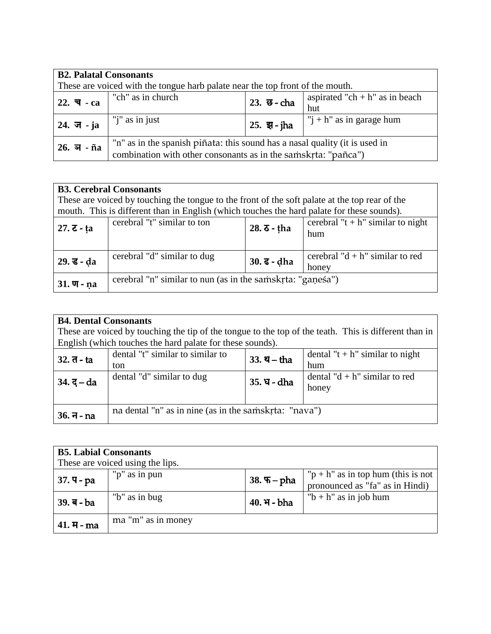| <b>B2. Palatal Consonants</b><br>These are voiced with the tongue harb palate near the top front of the mouth. |                                                                                                                                               |                |                              |  |
|----------------------------------------------------------------------------------------------------------------|-----------------------------------------------------------------------------------------------------------------------------------------------|----------------|------------------------------|--|
| $22. \ \overline{4} - ca$                                                                                      | "ch" as in church<br>aspirated "ch + $h$ " as in beach<br>23. छ - cha<br>hut                                                                  |                |                              |  |
| $24. \ \overline{5} - ja$                                                                                      | "j" as in just                                                                                                                                | $125.$ झ - jha | " $i + h$ " as in garage hum |  |
| $26.$ অ $ \tilde{n}$ а                                                                                         | "n" as in the spanish piñata: this sound has a nasal quality (it is used in<br>combination with other consonants as in the samskrta: "pañca") |                |                              |  |

| <b>B3. Cerebral Consonants</b> |                                                                                                |                                 |                                       |  |
|--------------------------------|------------------------------------------------------------------------------------------------|---------------------------------|---------------------------------------|--|
|                                | These are voiced by touching the tongue to the front of the soft palate at the top rear of the |                                 |                                       |  |
|                                | mouth. This is different than in English (which touches the hard palate for these sounds).     |                                 |                                       |  |
| $27. \, \text{z}$ - ta         | cerebral "t" similar to ton                                                                    | $28.5 - \text{tha}$             | cerebral " $t + h$ " similar to night |  |
|                                |                                                                                                |                                 | hum                                   |  |
|                                |                                                                                                |                                 |                                       |  |
| $29.$ ड - da                   | cerebral "d" similar to dug                                                                    |                                 | cerebral " $d + h$ " similar to red   |  |
|                                |                                                                                                | $30. \, \bar{\mathbf{c}}$ - dha | honey                                 |  |
|                                | cerebral "n" similar to nun (as in the samskrta: "ganesa")                                     |                                 |                                       |  |
| $31.$ $\Pi$ - na               |                                                                                                |                                 |                                       |  |

|                                                                                                       | <b>B4. Dental Consonants</b>                              |              |                                     |  |  |
|-------------------------------------------------------------------------------------------------------|-----------------------------------------------------------|--------------|-------------------------------------|--|--|
| These are voiced by touching the tip of the tongue to the top of the teath. This is different than in |                                                           |              |                                     |  |  |
|                                                                                                       | English (which touches the hard palate for these sounds). |              |                                     |  |  |
| $32.7 - ta$                                                                                           | dental "t" similar to similar to                          | $33.9 - tha$ | dental " $t + h$ " similar to night |  |  |
|                                                                                                       | ton                                                       |              | hum                                 |  |  |
| $34. \bar{5} - da$                                                                                    | dental "d" similar to dug                                 | 35. घ - dha  | dental " $d + h$ " similar to red   |  |  |
|                                                                                                       |                                                           |              | honey                               |  |  |
|                                                                                                       |                                                           |              |                                     |  |  |
| $36.7 - na$                                                                                           | na dental "n" as in nine (as in the samskrta: "nava")     |              |                                     |  |  |
|                                                                                                       |                                                           |              |                                     |  |  |

| <b>B5. Labial Consonants</b><br>These are voiced using the lips. |                    |                      |                                                                           |  |
|------------------------------------------------------------------|--------------------|----------------------|---------------------------------------------------------------------------|--|
| $37.9 - pa$                                                      | "p" as in pun      | $38.$ $\nabla$ - pha | " $p + h$ " as in top hum (this is not<br>pronounced as "fa" as in Hindi) |  |
| $39. a - ba$                                                     | "b" as in bug      | 40. भ - bha          | " $b + h$ " as in job hum                                                 |  |
| $41. H - ma$                                                     | ma "m" as in money |                      |                                                                           |  |